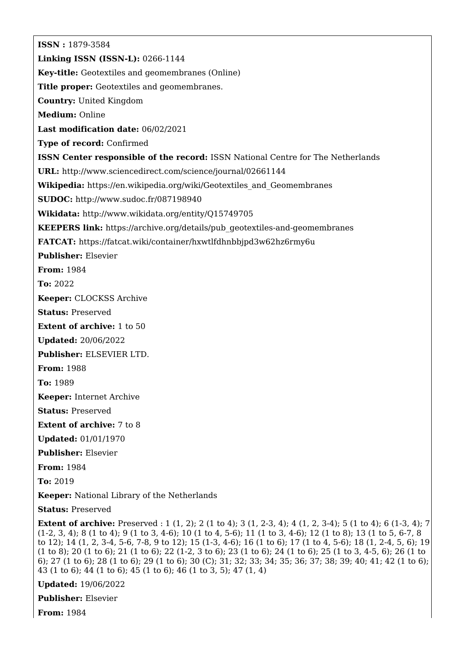**ISSN :** 1879-3584 **Linking ISSN (ISSN-L):** 0266-1144 **Key-title:** Geotextiles and geomembranes (Online) **Title proper:** Geotextiles and geomembranes. **Country:** United Kingdom **Medium:** Online **Last modification date:** 06/02/2021 **Type of record:** Confirmed **ISSN Center responsible of the record:** ISSN National Centre for The Netherlands **URL:** <http://www.sciencedirect.com/science/journal/02661144> **Wikipedia:** [https://en.wikipedia.org/wiki/Geotextiles\\_and\\_Geomembranes](https://en.wikipedia.org/wiki/Geotextiles_and_Geomembranes) **SUDOC:** <http://www.sudoc.fr/087198940> **Wikidata:** <http://www.wikidata.org/entity/Q15749705> **KEEPERS link:** [https://archive.org/details/pub\\_geotextiles-and-geomembranes](https://archive.org/details/pub_geotextiles-and-geomembranes) **FATCAT:** <https://fatcat.wiki/container/hxwtlfdhnbbjpd3w62hz6rmy6u> **Publisher:** Elsevier **From:** 1984 **To:** 2022 **Keeper:** CLOCKSS Archive **Status:** Preserved **Extent of archive:** 1 to 50 **Updated:** 20/06/2022 **Publisher:** ELSEVIER LTD. **From:** 1988 **To:** 1989 **Keeper:** Internet Archive **Status:** Preserved **Extent of archive:** 7 to 8 **Updated:** 01/01/1970 **Publisher:** Elsevier **From:** 1984 **To:** 2019 **Keeper:** National Library of the Netherlands

**Status:** Preserved

**Extent of archive:** Preserved : 1 (1, 2); 2 (1 to 4); 3 (1, 2-3, 4); 4 (1, 2, 3-4); 5 (1 to 4); 6 (1-3, 4); 7 (1-2, 3, 4); 8 (1 to 4); 9 (1 to 3, 4-6); 10 (1 to 4, 5-6); 11 (1 to 3, 4-6); 12 (1 to 8); 13 (1 to 5, 6-7, 8 to 12); 14 (1, 2, 3-4, 5-6, 7-8, 9 to 12); 15 (1-3, 4-6); 16 (1 to 6); 17 (1 to 4, 5-6); 18 (1, 2-4, 5, 6); 19 (1 to 8); 20 (1 to 6); 21 (1 to 6); 22 (1-2, 3 to 6); 23 (1 to 6); 24 (1 to 6); 25 (1 to 3, 4-5, 6); 26 (1 to 6); 27 (1 to 6); 28 (1 to 6); 29 (1 to 6); 30 (C); 31; 32; 33; 34; 35; 36; 37; 38; 39; 40; 41; 42 (1 to 6); 43 (1 to 6); 44 (1 to 6); 45 (1 to 6); 46 (1 to 3, 5); 47 (1, 4)

**Updated:** 19/06/2022

**Publisher:** Elsevier

**From:** 1984